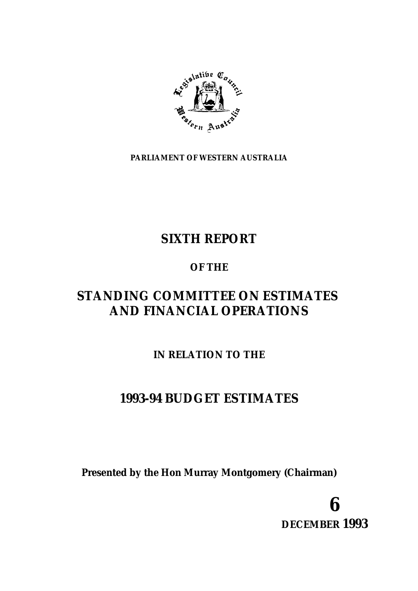

**PARLIAMENT OF WESTERN AUSTRALIA**

# **SIXTH REPORT**

## **OF THE**

# **STANDING COMMITTEE ON ESTIMATES AND FINANCIAL OPERATIONS**

## **IN RELATION TO THE**

# **1993-94 BUDGET ESTIMATES**

**Presented by the Hon Murray Montgomery (Chairman)**

**6 DECEMBER 1993**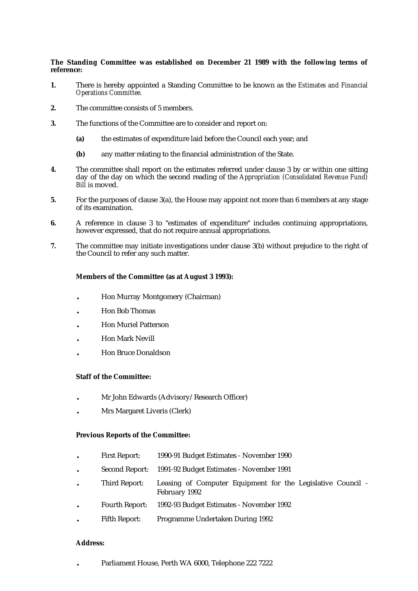#### **The Standing Committee was established on December 21 1989 with the following terms of reference:**

- **1.** There is hereby appointed a Standing Committee to be known as the *Estimates and Financial Operations Committee.*
- **2.** The committee consists of 5 members.
- **3.** The functions of the Committee are to consider and report on:
	- **(a)** the estimates of expenditure laid before the Council each year; and
	- **(b)** any matter relating to the financial administration of the State.
- **4.** The committee shall report on the estimates referred under clause 3 by or within one sitting day of the day on which the second reading of the *Appropriation (Consolidated Revenue Fund) Bill* is moved.
- **5.** For the purposes of clause 3(a), the House may appoint not more than 6 members at any stage of its examination.
- **6.** A reference in clause 3 to "estimates of expenditure" includes continuing appropriations, however expressed, that do not require annual appropriations.
- **7.** The committee may initiate investigations under clause 3(b) without prejudice to the right of the Council to refer any such matter.

#### **Members of the Committee (as at August 3 1993):**

- . Hon Murray Montgomery (Chairman)
- . Hon Bob Thomas
- . Hon Muriel Patterson
- . Hon Mark Nevill
- . Hon Bruce Donaldson

#### **Staff of the Committee:**

- . Mr John Edwards (Advisory/Research Officer)
- . Mrs Margaret Liveris (Clerk)

#### **Previous Reports of the Committee:**

- . First Report: 1990-91 Budget Estimates November 1990
- . Second Report: 1991-92 Budget Estimates November 1991
- . Third Report: Leasing of Computer Equipment for the Legislative Council February 1992
- . Fourth Report: 1992-93 Budget Estimates November 1992
- . Fifth Report: Programme Undertaken During 1992

#### **Address:**

. Parliament House, Perth WA 6000, Telephone 222 7222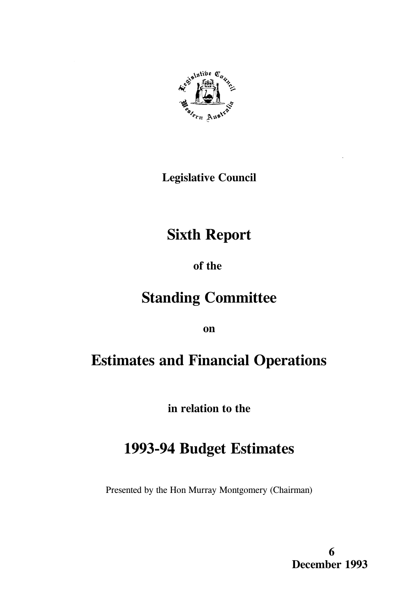

**Legislative Council** 

# **Sixth Report**

## of the

# **Standing Committee**

on

# **Estimates and Financial Operations**

in relation to the

# 1993-94 Budget Estimates

Presented by the Hon Murray Montgomery (Chairman)

6 December 1993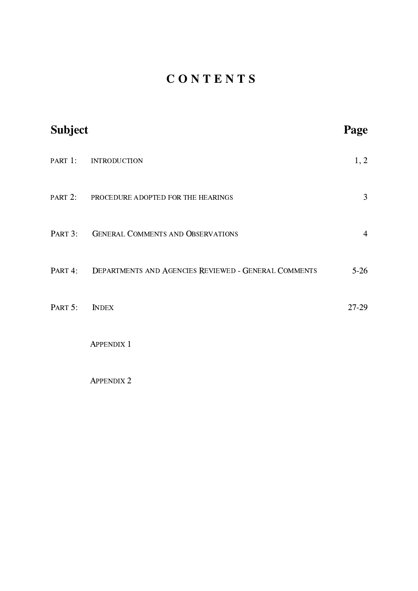# CONTENTS

| <b>Subject</b> |                                                              | Page           |
|----------------|--------------------------------------------------------------|----------------|
|                | PART 1: INTRODUCTION                                         | 1, 2           |
|                | PART 2: PROCEDURE ADOPTED FOR THE HEARINGS                   | 3              |
|                | PART 3: GENERAL COMMENTS AND OBSERVATIONS                    | $\overline{4}$ |
|                | PART 4: DEPARTMENTS AND AGENCIES REVIEWED - GENERAL COMMENTS | $5-26$         |
| PART 5:        | <b>INDEX</b>                                                 | $27-29$        |
|                | <b>APPENDIX 1</b>                                            |                |
|                | <b>APPENDIX 2</b>                                            |                |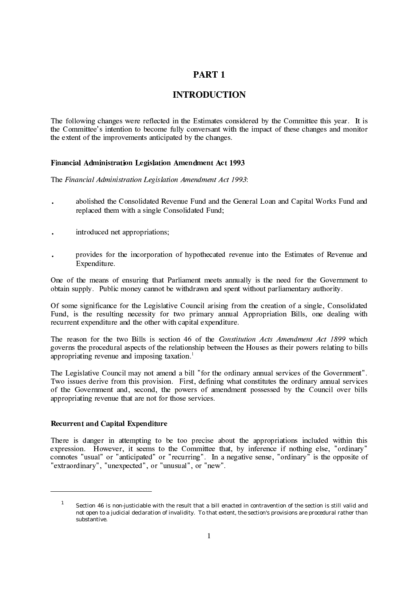### PART 1

### **INTRODUCTION**

The following changes were reflected in the Estimates considered by the Committee this year. It is the Committee's intention to become fully conversant with the impact of these changes and monitor the extent of the improvements anticipated by the changes.

#### Financial Administration Legislation Amendment Act 1993

The Financial Administration Legislation Amendment Act 1993:

- abolished the Consolidated Revenue Fund and the General Loan and Capital Works Fund and replaced them with a single Consolidated Fund;
- introduced net appropriations;
- provides for the incorporation of hypothecated revenue into the Estimates of Revenue and Expenditure.

One of the means of ensuring that Parliament meets annually is the need for the Government to obtain supply. Public money cannot be withdrawn and spent without parliamentary authority.

Of some significance for the Legislative Council arising from the creation of a single, Consolidated Fund, is the resulting necessity for two primary annual Appropriation Bills, one dealing with recurrent expenditure and the other with capital expenditure.

The reason for the two Bills is section 46 of the Constitution Acts Amendment Act 1899 which governs the procedural aspects of the relationship between the Houses as their powers relating to bills appropriating revenue and imposing taxation.<sup>1</sup>

The Legislative Council may not amend a bill "for the ordinary annual services of the Government". Two issues derive from this provision. First, defining what constitutes the ordinary annual services of the Government and, second, the powers of amendment possessed by the Council over bills appropriating revenue that are not for those services.

#### Recurrent and Capital Expenditure

There is danger in attempting to be too precise about the appropriations included within this expression. However, it seems to the Committee that, by inference if nothing else, "ordinary" connotes "usual" or "anticipated" or "recurring". In a negative sense, "ordinary" is the opposite of "extraordinary", "unexpected", or "unusual", or "new".

Section 46 is non-justiciable with the result that a bill enacted in contravention of the section is still valid and not open to a judicial declaration of invalidity. To that extent, the section's provisions are procedural rather than substantive.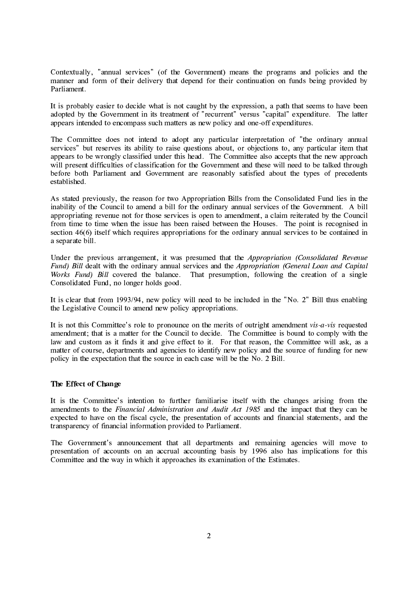Contextually, "annual services" (of the Government) means the programs and policies and the manner and form of their delivery that depend for their continuation on funds being provided by Parliament.

It is probably easier to decide what is not caught by the expression, a path that seems to have been adopted by the Government in its treatment of "recurrent" versus "capital" expenditure. The latter appears intended to encompass such matters as new policy and one-off expenditures.

The Committee does not intend to adopt any particular interpretation of "the ordinary annual" services" but reserves its ability to raise questions about, or objections to, any particular item that appears to be wrongly classified under this head. The Committee also accepts that the new approach will present difficulties of classification for the Government and these will need to be talked through before both Parliament and Government are reasonably satisfied about the types of precedents established.

As stated previously, the reason for two Appropriation Bills from the Consolidated Fund lies in the inability of the Council to amend a bill for the ordinary annual services of the Government. A bill appropriating revenue not for those services is open to amendment, a claim reiterated by the Council from time to time when the issue has been raised between the Houses. The point is recognised in section 46(6) itself which requires appropriations for the ordinary annual services to be contained in a separate bill.

Under the previous arrangement, it was presumed that the *Appropriation (Consolidated Revenue* Fund) Bill dealt with the ordinary annual services and the Appropriation (General Loan and Capital *Works Fund*) Bill covered the balance. That presumption, following the creation of a single Consolidated Fund, no longer holds good.

It is clear that from 1993/94, new policy will need to be included in the "No. 2" Bill thus enabling the Legislative Council to amend new policy appropriations.

It is not this Committee's role to pronounce on the merits of outright amendment vis-a-vis requested amendment; that is a matter for the Council to decide. The Committee is bound to comply with the law and custom as it finds it and give effect to it. For that reason, the Committee will ask, as a matter of course, departments and agencies to identify new policy and the source of funding for new policy in the expectation that the source in each case will be the No. 2 Bill.

#### The Effect of Change

It is the Committee's intention to further familiarise itself with the changes arising from the amendments to the Financial Administration and Audit Act 1985 and the impact that they can be expected to have on the fiscal cycle, the presentation of accounts and financial statements, and the transparency of financial information provided to Parliament.

The Government's announcement that all departments and remaining agencies will move to presentation of accounts on an accrual accounting basis by 1996 also has implications for this Committee and the way in which it approaches its examination of the Estimates.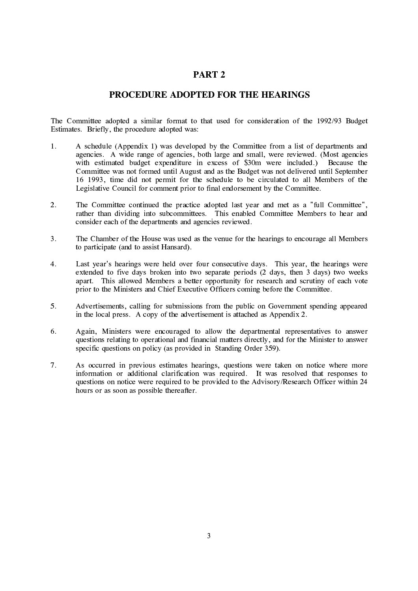#### PART<sub>2</sub>

#### PROCEDURE ADOPTED FOR THE HEARINGS

The Committee adopted a similar format to that used for consideration of the 1992/93 Budget Estimates. Briefly, the procedure adopted was:

- A schedule (Appendix 1) was developed by the Committee from a list of departments and  $1<sub>1</sub>$ agencies. A wide range of agencies, both large and small, were reviewed. (Most agencies with estimated budget expenditure in excess of \$30m were included.) Because the Committee was not formed until August and as the Budget was not delivered until September 16 1993, time did not permit for the schedule to be circulated to all Members of the Legislative Council for comment prior to final endorsement by the Committee.
- $\overline{2}$ . The Committee continued the practice adopted last year and met as a "full Committee". rather than dividing into subcommittees. This enabled Committee Members to hear and consider each of the departments and agencies reviewed.
- $\overline{3}$ . The Chamber of the House was used as the venue for the hearings to encourage all Members to participate (and to assist Hansard).
- Last year's hearings were held over four consecutive days. This year, the hearings were  $4.$ extended to five days broken into two separate periods (2 days, then 3 days) two weeks apart. This allowed Members a better opportunity for research and scrutiny of each vote prior to the Ministers and Chief Executive Officers coming before the Committee.
- $5<sub>1</sub>$ Advertisements, calling for submissions from the public on Government spending appeared in the local press. A copy of the advertisement is attached as Appendix 2.
- 6. Again, Ministers were encouraged to allow the departmental representatives to answer questions relating to operational and financial matters directly, and for the Minister to answer specific questions on policy (as provided in Standing Order 359).
- $7.$ As occurred in previous estimates hearings, questions were taken on notice where more information or additional clarification was required. It was resolved that responses to questions on notice were required to be provided to the Advisory/Research Officer within 24 hours or as soon as possible thereafter.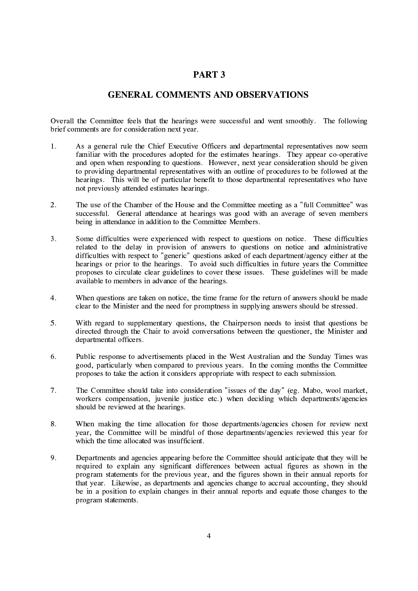#### PART<sub>3</sub>

#### **GENERAL COMMENTS AND OBSERVATIONS**

Overall the Committee feels that the hearings were successful and went smoothly. The following brief comments are for consideration next year.

- As a general rule the Chief Executive Officers and departmental representatives now seem  $1<sub>1</sub>$ familiar with the procedures adopted for the estimates hearings. They appear co-operative and open when responding to questions. However, next year consideration should be given to providing departmental representatives with an outline of procedures to be followed at the hearings. This will be of particular benefit to those departmental representatives who have not previously attended estimates hearings.
- $\overline{2}$ . The use of the Chamber of the House and the Committee meeting as a "full Committee" was successful. General attendance at hearings was good with an average of seven members being in attendance in addition to the Committee Members.
- $\overline{3}$ . Some difficulties were experienced with respect to questions on notice. These difficulties related to the delay in provision of answers to questions on notice and administrative difficulties with respect to "generic" questions asked of each department/agency either at the hearings or prior to the hearings. To avoid such difficulties in future years the Committee proposes to circulate clear guidelines to cover these issues. These guidelines will be made available to members in advance of the hearings.
- $\overline{4}$ . When questions are taken on notice, the time frame for the return of answers should be made clear to the Minister and the need for promptness in supplying answers should be stressed.
- With regard to supplementary questions, the Chairperson needs to insist that questions be  $5<sub>1</sub>$ directed through the Chair to avoid conversations between the questioner, the Minister and departmental officers.
- 6. Public response to advertisements placed in the West Australian and the Sunday Times was good, particularly when compared to previous years. In the coming months the Committee proposes to take the action it considers appropriate with respect to each submission.
- 7. The Committee should take into consideration "issues of the day" (eg. Mabo, wool market, workers compensation, juvenile justice etc.) when deciding which departments/agencies should be reviewed at the hearings.
- 8. When making the time allocation for those departments/agencies chosen for review next year, the Committee will be mindful of those departments/agencies reviewed this year for which the time allocated was insufficient.
- 9. Departments and agencies appearing before the Committee should anticipate that they will be required to explain any significant differences between actual figures as shown in the program statements for the previous year, and the figures shown in their annual reports for that year. Likewise, as departments and agencies change to accrual accounting, they should be in a position to explain changes in their annual reports and equate those changes to the program statements.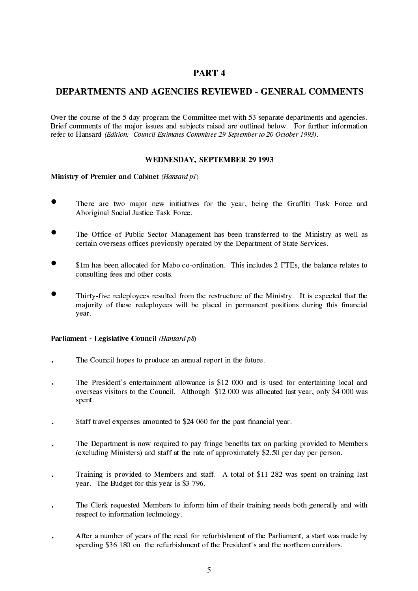### PART<sub>4</sub>

### **DEPARTMENTS AND AGENCIES REVIEWED - GENERAL COMMENTS**

Over the course of the 5 day program the Committee met with 53 separate departments and agencies. Brief comments of the major issues and subjects raised are outlined below. For further information refer to Hansard (Edition: Council Estimates Committee 29 September to 20 October 1993).

#### **WEDNESDAY, SEPTEMBER 29 1993**

Ministry of Premier and Cabinet (Hansard p1)

- There are two major new initiatives for the year, being the Graffiti Task Force and Aboriginal Social Justice Task Force.
- The Office of Public Sector Management has been transferred to the Ministry as well as certain overseas offices previously operated by the Department of State Services.
- \$1m has been allocated for Mabo co-ordination. This includes 2 FTEs, the balance relates to consulting fees and other costs.
- Thirty-five redeployees resulted from the restructure of the Ministry. It is expected that the majority of these redeployees will be placed in permanent positions during this financial year.

#### Parliament - Legislative Council (Hansard p8)

- The Council hopes to produce an annual report in the future.
- The President's entertainment allowance is \$12 000 and is used for entertaining local and overseas visitors to the Council. Although \$12 000 was allocated last year, only \$4 000 was spent.
- Staff travel expenses amounted to \$24 060 for the past financial year.  $\ddot{\phantom{a}}$
- The Department is now required to pay fringe benefits tax on parking provided to Members (excluding Ministers) and staff at the rate of approximately \$2.50 per day per person.
- Training is provided to Members and staff. A total of \$11 282 was spent on training last year. The Budget for this year is \$3 796.
- The Clerk requested Members to inform him of their training needs both generally and with respect to information technology.
- After a number of years of the need for refurbishment of the Parliament, a start was made by spending \$36 180 on the refurbishment of the President's and the northern corridors.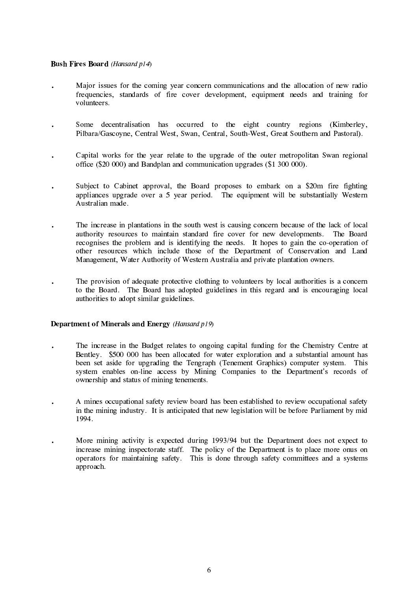#### **Bush Fires Board** (Hansard p14)

- Major issues for the coming year concern communications and the allocation of new radio frequencies, standards of fire cover development, equipment needs and training for volunteers.
- Some decentralisation has occurred to the eight country regions (Kimberley, Pilbara/Gascoyne, Central West, Swan, Central, South-West, Great Southern and Pastoral).
- Capital works for the year relate to the upgrade of the outer metropolitan Swan regional office (\$20 000) and Bandplan and communication upgrades (\$1 300 000).
- Subject to Cabinet approval, the Board proposes to embark on a \$20m fire fighting appliances upgrade over a 5 year period. The equipment will be substantially Western Australian made.
- The increase in plantations in the south west is causing concern because of the lack of local authority resources to maintain standard fire cover for new developments. The Board recognises the problem and is identifying the needs. It hopes to gain the co-operation of other resources which include those of the Department of Conservation and Land Management, Water Authority of Western Australia and private plantation owners.
- The provision of adequate protective clothing to volunteers by local authorities is a concern to the Board. The Board has adopted guidelines in this regard and is encouraging local authorities to adopt similar guidelines.

#### Department of Minerals and Energy (Hansard p19)

- The increase in the Budget relates to ongoing capital funding for the Chemistry Centre at Bentley. \$500 000 has been allocated for water exploration and a substantial amount has been set aside for upgrading the Tengraph (Tenement Graphics) computer system. This system enables on-line access by Mining Companies to the Department's records of ownership and status of mining tenements.
- A mines occupational safety review board has been established to review occupational safety  $\ddot{\phantom{a}}$ in the mining industry. It is anticipated that new legislation will be before Parliament by mid 1994.
- More mining activity is expected during 1993/94 but the Department does not expect to increase mining inspectorate staff. The policy of the Department is to place more onus on operators for maintaining safety. This is done through safety committees and a systems approach.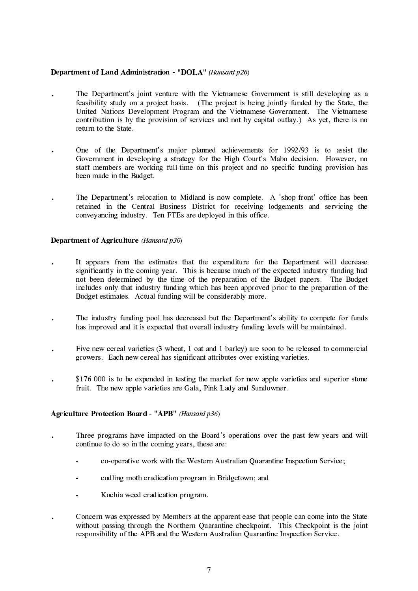#### Department of Land Administration - "DOLA" (Hansard p26)

- The Department's joint venture with the Vietnamese Government is still developing as a feasibility study on a project basis. (The project is being jointly funded by the State, the United Nations Development Program and the Vietnamese Government. The Vietnamese contribution is by the provision of services and not by capital outlay.) As yet, there is no return to the State.
- One of the Department's major planned achievements for 1992/93 is to assist the  $\ddot{\phantom{0}}$ Government in developing a strategy for the High Court's Mabo decision. However, no staff members are working full-time on this project and no specific funding provision has been made in the Budget.
- The Department's relocation to Midland is now complete. A 'shop-front' office has been retained in the Central Business District for receiving lodgements and servicing the conveyancing industry. Ten FTEs are deployed in this office.

#### **Department of Agriculture** (*Hansard p30*)

- It appears from the estimates that the expenditure for the Department will decrease significantly in the coming year. This is because much of the expected industry funding had not been determined by the time of the preparation of the Budget papers. The Budget includes only that industry funding which has been approved prior to the preparation of the Budget estimates. Actual funding will be considerably more.
- The industry funding pool has decreased but the Department's ability to compete for funds has improved and it is expected that overall industry funding levels will be maintained.
- Five new cereal varieties (3 wheat, 1 oat and 1 barley) are soon to be released to commercial growers. Each new cereal has significant attributes over existing varieties.
- \$176 000 is to be expended in testing the market for new apple varieties and superior stone fruit. The new apple varieties are Gala, Pink Lady and Sundowner.

#### **Agriculture Protection Board - "APB"** (Hansard p36)

- Three programs have impacted on the Board's operations over the past few years and will continue to do so in the coming years, these are:
	- co-operative work with the Western Australian Quarantine Inspection Service;
	- codling moth eradication program in Bridgetown; and
	- $\mathbf{r}$ Kochia weed eradication program.
- Concern was expressed by Members at the apparent ease that people can come into the State  $\ddot{\phantom{0}}$ without passing through the Northern Quarantine checkpoint. This Checkpoint is the joint responsibility of the APB and the Western Australian Quarantine Inspection Service.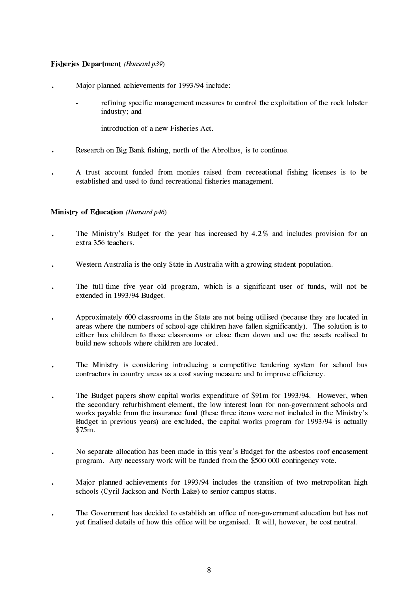#### **Fisheries Department** (Hansard p39)

- Major planned achievements for 1993/94 include:
	- refining specific management measures to control the exploitation of the rock lobster industry; and
	- introduction of a new Fisheries Act.
- Research on Big Bank fishing, north of the Abrolhos, is to continue.
- A trust account funded from monies raised from recreational fishing licenses is to be established and used to fund recreational fisheries management.

#### **Ministry of Education** (Hansard p46)

- The Ministry's Budget for the year has increased by 4.2% and includes provision for an extra 356 teachers.
- Western Australia is the only State in Australia with a growing student population.  $\ddot{\phantom{0}}$
- The full-time five year old program, which is a significant user of funds, will not be extended in 1993/94 Budget.
- Approximately 600 classrooms in the State are not being utilised (because they are located in areas where the numbers of school-age children have fallen significantly). The solution is to either bus children to those classrooms or close them down and use the assets realised to build new schools where children are located
- The Ministry is considering introducing a competitive tendering system for school bus contractors in country areas as a cost saving measure and to improve efficiency.
- The Budget papers show capital works expenditure of \$91m for 1993/94. However, when the secondary refurbishment element, the low interest loan for non-government schools and works payable from the insurance fund (these three items were not included in the Ministry's Budget in previous years) are excluded, the capital works program for 1993/94 is actually \$75m.
- No separate allocation has been made in this year's Budget for the asbestos roof encasement program. Any necessary work will be funded from the \$500 000 contingency vote.
- Major planned achievements for 1993/94 includes the transition of two metropolitan high schools (Cyril Jackson and North Lake) to senior campus status.
- The Government has decided to establish an office of non-government education but has not yet finalised details of how this office will be organised. It will, however, be cost neutral.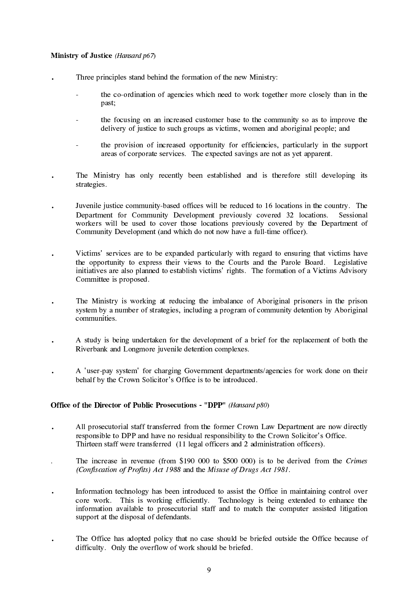#### Ministry of Justice (Hansard p67)

- Three principles stand behind the formation of the new Ministry:
	- the co-ordination of agencies which need to work together more closely than in the past;
	- the focusing on an increased customer base to the community so as to improve the delivery of justice to such groups as victims, women and aboriginal people; and
	- the provision of increased opportunity for efficiencies, particularly in the support areas of corporate services. The expected savings are not as yet apparent.
- The Ministry has only recently been established and is therefore still developing its strategies.
- Juvenile justice community-based offices will be reduced to 16 locations in the country. The Department for Community Development previously covered 32 locations. Sessional workers will be used to cover those locations previously covered by the Department of Community Development (and which do not now have a full-time officer).
- Victims' services are to be expanded particularly with regard to ensuring that victims have the opportunity to express their views to the Courts and the Parole Board. Legislative initiatives are also planned to establish victims' rights. The formation of a Victims Advisory Committee is proposed.
- The Ministry is working at reducing the imbalance of Aboriginal prisoners in the prison system by a number of strategies, including a program of community detention by Aboriginal communities.
- A study is being undertaken for the development of a brief for the replacement of both the Riverbank and Longmore juvenile detention complexes.
- A 'user-pay system' for charging Government departments/agencies for work done on their behalf by the Crown Solicitor's Office is to be introduced.

#### Office of the Director of Public Prosecutions - "DPP" (Hansard p80)

- All prosecutorial staff transferred from the former Crown Law Department are now directly responsible to DPP and have no residual responsibility to the Crown Solicitor's Office. Thirteen staff were transferred (11 legal officers and 2 administration officers).
- The increase in revenue (from \$190 000 to \$500 000) is to be derived from the Crimes (Confiscation of Profits) Act 1988 and the Misuse of Drugs Act 1981.
- Information technology has been introduced to assist the Office in maintaining control over  $\ddot{\phantom{0}}$ core work. This is working efficiently. Technology is being extended to enhance the information available to prosecutorial staff and to match the computer assisted litigation support at the disposal of defendants.
- The Office has adopted policy that no case should be briefed outside the Office because of  $\ddot{\phantom{0}}$ difficulty. Only the overflow of work should be briefed.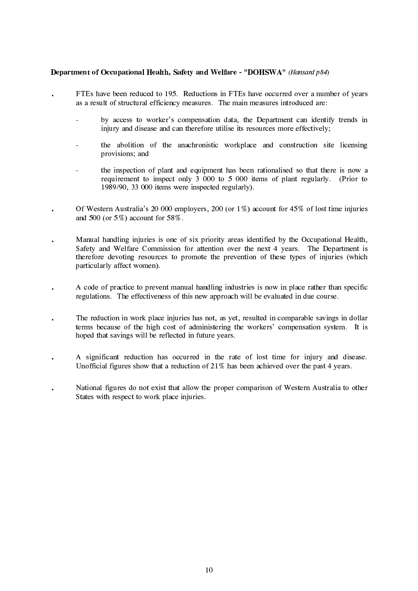#### Department of Occupational Health, Safety and Welfare - "DOHSWA" (Hansard p84)

- FTEs have been reduced to 195. Reductions in FTEs have occurred over a number of years as a result of structural efficiency measures. The main measures introduced are:
	- by access to worker's compensation data, the Department can identify trends in injury and disease and can therefore utilise its resources more effectively;
	- the abolition of the anachronistic workplace and construction site licensing provisions; and
	- the inspection of plant and equipment has been rationalised so that there is now a requirement to inspect only 3 000 to 5 000 items of plant regularly. (Prior to 1989/90, 33 000 items were inspected regularly).
- Of Western Australia's 20 000 employers, 200 (or  $1\%$ ) account for 45% of lost time injuries  $\bullet$ and 500 (or  $5\%$ ) account for  $58\%$ .
- Manual handling injuries is one of six priority areas identified by the Occupational Health, Safety and Welfare Commission for attention over the next 4 years. The Department is therefore devoting resources to promote the prevention of these types of injuries (which particularly affect women).
- A code of practice to prevent manual handling industries is now in place rather than specific  $\ddot{\phantom{0}}$ regulations. The effectiveness of this new approach will be evaluated in due course.
- The reduction in work place injuries has not, as yet, resulted in comparable savings in dollar terms because of the high cost of administering the workers' compensation system. It is hoped that savings will be reflected in future years.
- A significant reduction has occurred in the rate of lost time for injury and disease. Unofficial figures show that a reduction of  $21\%$  has been achieved over the past 4 years.
- National figures do not exist that allow the proper comparison of Western Australia to other States with respect to work place injuries.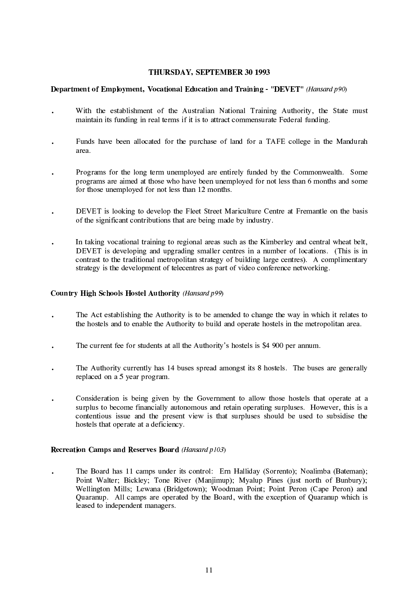#### THURSDAY, SEPTEMBER 30 1993

#### **Department of Employment, Vocational Education and Training - "DEVET"** (Hansard p90)

- With the establishment of the Australian National Training Authority, the State must  $\ddot{\phantom{a}}$ maintain its funding in real terms if it is to attract commensurate Federal funding.
- Funds have been allocated for the purchase of land for a TAFE college in the Mandurah area.
- Programs for the long term unemployed are entirely funded by the Commonwealth. Some programs are aimed at those who have been unemployed for not less than 6 months and some for those unemployed for not less than 12 months.
- DEVET is looking to develop the Fleet Street Mariculture Centre at Fremantle on the basis of the significant contributions that are being made by industry.
- In taking vocational training to regional areas such as the Kimberley and central wheat belt, DEVET is developing and upgrading smaller centres in a number of locations. (This is in contrast to the traditional metropolitan strategy of building large centres). A complimentary strategy is the development of telecentres as part of video conference networking.

#### Country High Schools Hostel Authority (Hansard p99)

- The Act establishing the Authority is to be amended to change the way in which it relates to the hostels and to enable the Authority to build and operate hostels in the metropolitan area.
- The current fee for students at all the Authority's hostels is \$4 900 per annum.
- The Authority currently has 14 buses spread amongst its 8 hostels. The buses are generally replaced on a 5 year program.
- Consideration is being given by the Government to allow those hostels that operate at a surplus to become financially autonomous and retain operating surpluses. However, this is a contentious issue and the present view is that surpluses should be used to subsidise the hostels that operate at a deficiency.

#### **Recreation Camps and Reserves Board (Hansard p103)**

The Board has 11 camps under its control: Ern Halliday (Sorrento); Noalimba (Bateman); Point Walter: Bickley: Tone River (Maniimup): Myalup Pines (just north of Bunbury): Wellington Mills; Lewana (Bridgetown); Woodman Point; Point Peron (Cape Peron) and Quaranup. All camps are operated by the Board, with the exception of Quaranup which is leased to independent managers.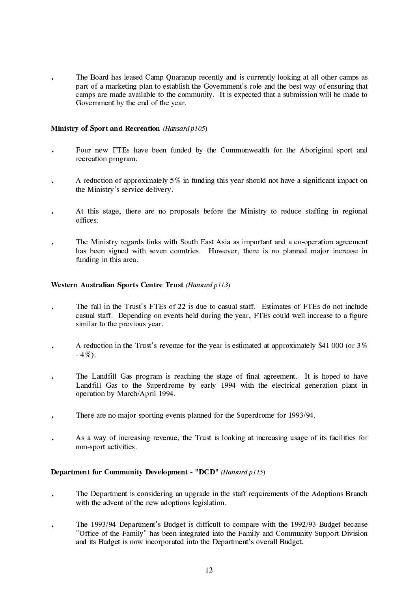The Board has leased Camp Quaranup recently and is currently looking at all other camps as part of a marketing plan to establish the Government's role and the best way of ensuring that camps are made available to the community. It is expected that a submission will be made to Government by the end of the year.

#### Ministry of Sport and Recreation (Hansard p105)

- Four new FTEs have been funded by the Commonwealth for the Aboriginal sport and  $\ddot{\phantom{0}}$ recreation program.
- A reduction of approximately  $5\%$  in funding this year should not have a significant impact on the Ministry's service delivery.
- At this stage, there are no proposals before the Ministry to reduce staffing in regional offices.
- The Ministry regards links with South East Asia as important and a co-operation agreement has been signed with seven countries. However, there is no planned major increase in funding in this area.

#### Western Australian Sports Centre Trust (Hansard p113)

- The fall in the Trust's FTEs of 22 is due to casual staff. Estimates of FTEs do not include casual staff. Depending on events held during the year, FTEs could well increase to a figure similar to the previous year.
- A reduction in the Trust's revenue for the year is estimated at approximately \$41 000 (or  $3\%$ )  $-4\%$ ).
- The Landfill Gas program is reaching the stage of final agreement. It is hoped to have Landfill Gas to the Superdrome by early 1994 with the electrical generation plant in operation by March/April 1994.
- There are no major sporting events planned for the Superdrome for 1993/94.
- As a way of increasing revenue, the Trust is looking at increasing usage of its facilities for  $\ddot{\phantom{a}}$ non-sport activities.

#### **Department for Community Development - "DCD"** (Hansard p115)

- The Department is considering an upgrade in the staff requirements of the Adoptions Branch with the advent of the new adoptions legislation.
- The 1993/94 Department's Budget is difficult to compare with the 1992/93 Budget because  $\ddot{\phantom{0}}$ "Office of the Family" has been integrated into the Family and Community Support Division and its Budget is now incorporated into the Department's overall Budget.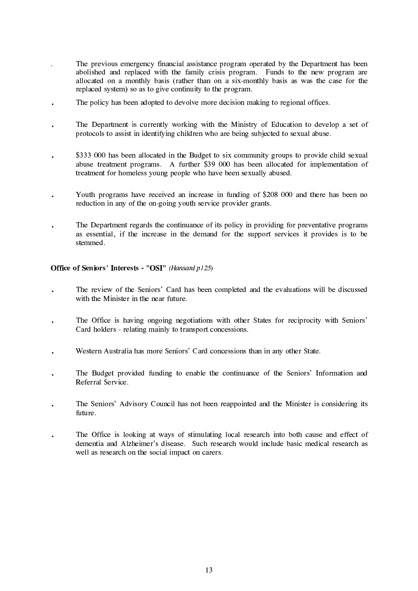- The previous emergency financial assistance program operated by the Department has been abolished and replaced with the family crisis program. Funds to the new program are allocated on a monthly basis (rather than on a six-monthly basis as was the case for the replaced system) so as to give continuity to the program.
- The policy has been adopted to devolve more decision making to regional offices.
- The Department is currently working with the Ministry of Education to develop a set of protocols to assist in identifying children who are being subjected to sexual abuse.
- \$333 000 has been allocated in the Budget to six community groups to provide child sexual abuse treatment programs. A further \$39 000 has been allocated for implementation of treatment for homeless young people who have been sexually abused.
- Youth programs have received an increase in funding of \$208 000 and there has been no reduction in any of the on-going youth service provider grants.
- The Department regards the continuance of its policy in providing for preventative programs as essential, if the increase in the demand for the support services it provides is to be stemmed.

#### Office of Seniors' Interests - "OSI" (Hansard p125)

- The review of the Seniors' Card has been completed and the evaluations will be discussed with the Minister in the near future.
- The Office is having ongoing negotiations with other States for reciprocity with Seniors' Card holders - relating mainly to transport concessions.
- Western Australia has more Seniors' Card concessions than in any other State.
- The Budget provided funding to enable the continuance of the Seniors' Information and Referral Service.
- The Seniors' Advisory Council has not been reappointed and the Minister is considering its future.
- The Office is looking at ways of stimulating local research into both cause and effect of dementia and Alzheimer's disease. Such research would include basic medical research as well as research on the social impact on carers.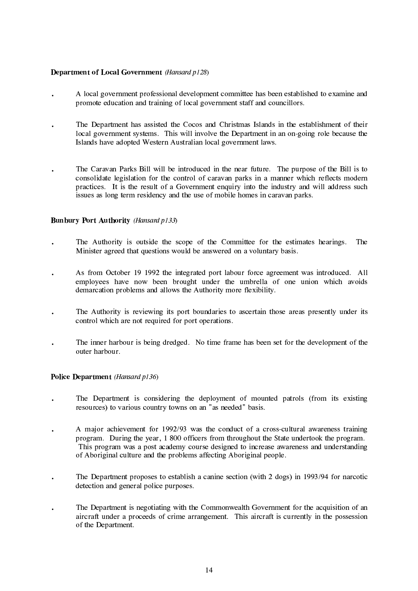#### **Department of Local Government** (Hansard p128)

- A local government professional development committee has been established to examine and promote education and training of local government staff and councillors.
- The Department has assisted the Cocos and Christmas Islands in the establishment of their local government systems. This will involve the Department in an on-going role because the Islands have adopted Western Australian local government laws.
- The Caravan Parks Bill will be introduced in the near future. The purpose of the Bill is to consolidate legislation for the control of caravan parks in a manner which reflects modern practices. It is the result of a Government enquiry into the industry and will address such issues as long term residency and the use of mobile homes in caravan parks.

#### **Bunbury Port Authority (Hansard p133)**

- The Authority is outside the scope of the Committee for the estimates hearings. The Minister agreed that questions would be answered on a voluntary basis.
- As from October 19 1992 the integrated port labour force agreement was introduced. All employees have now been brought under the umbrella of one union which avoids demarcation problems and allows the Authority more flexibility.
- The Authority is reviewing its port boundaries to ascertain those areas presently under its control which are not required for port operations.
- The inner harbour is being dredged. No time frame has been set for the development of the  $\ddot{\phantom{a}}$ outer harbour.

#### Police Department (Hansard p136)

- The Department is considering the deployment of mounted patrols (from its existing resources) to various country towns on an "as needed" basis.
- A major achievement for 1992/93 was the conduct of a cross-cultural awareness training program. During the year, 1 800 officers from throughout the State undertook the program. This program was a post academy course designed to increase awareness and understanding of Aboriginal culture and the problems affecting Aboriginal people.
- The Department proposes to establish a canine section (with 2 dogs) in 1993/94 for narcotic  $\ddot{\phantom{0}}$ detection and general police purposes.
- The Department is negotiating with the Commonwealth Government for the acquisition of an  $\ddot{\phantom{a}}$ aircraft under a proceeds of crime arrangement. This aircraft is currently in the possession of the Department.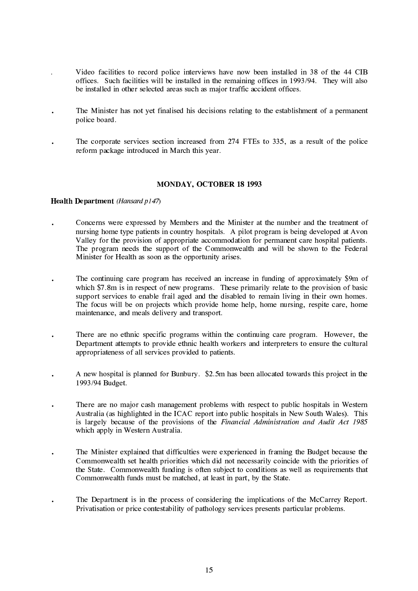- Video facilities to record police interviews have now been installed in 38 of the 44 CIB offices. Such facilities will be installed in the remaining offices in 1993/94. They will also be installed in other selected areas such as major traffic accident offices.
- The Minister has not vet finalised his decisions relating to the establishment of a permanent police board.
- The corporate services section increased from 274 FTEs to 335, as a result of the police reform package introduced in March this year.

#### MONDAY, OCTOBER 18 1993

#### Health Department (Hansard p147)

- Concerns were expressed by Members and the Minister at the number and the treatment of nursing home type patients in country hospitals. A pilot program is being developed at Ayon Valley for the provision of appropriate accommodation for permanent care hospital patients. The program needs the support of the Commonwealth and will be shown to the Federal Minister for Health as soon as the opportunity arises.
- The continuing care program has received an increase in funding of approximately \$9m of which \$7.8m is in respect of new programs. These primarily relate to the provision of basic support services to enable frail aged and the disabled to remain living in their own homes. The focus will be on projects which provide home help, home nursing, respite care, home maintenance, and meals delivery and transport.
- There are no ethnic specific programs within the continuing care program. However, the  $\ddot{\phantom{0}}$ Department attempts to provide ethnic health workers and interpreters to ensure the cultural appropriateness of all services provided to patients.
- A new hospital is planned for Bunbury. \$2.5m has been allocated towards this project in the 1993/94 Budget.
- There are no major cash management problems with respect to public hospitals in Western Australia (as highlighted in the ICAC report into public hospitals in New South Wales). This is largely because of the provisions of the Financial Administration and Audit Act 1985 which apply in Western Australia.
- The Minister explained that difficulties were experienced in framing the Budget because the  $\ddot{\phantom{0}}$ Commonwealth set health priorities which did not necessarily coincide with the priorities of the State. Commonwealth funding is often subject to conditions as well as requirements that Commonwealth funds must be matched, at least in part, by the State.
- The Department is in the process of considering the implications of the McCarrey Report.  $\ddot{\phantom{0}}$ Privatisation or price contestability of pathology services presents particular problems.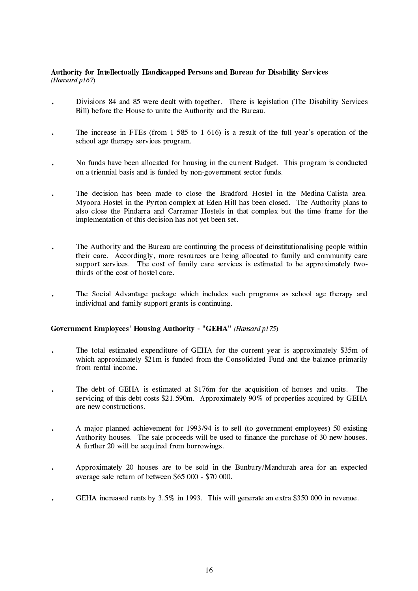#### Authority for Intellectually Handicapped Persons and Bureau for Disability Services (Hansard p167)

- Divisions 84 and 85 were dealt with together. There is legislation (The Disability Services Bill) before the House to unite the Authority and the Bureau.
- The increase in FTEs (from 1 585 to 1 616) is a result of the full year's operation of the school age therapy services program.
- No funds have been allocated for housing in the current Budget. This program is conducted on a triennial basis and is funded by non-government sector funds.
- The decision has been made to close the Bradford Hostel in the Medina-Calista area. Myoora Hostel in the Pyrton complex at Eden Hill has been closed. The Authority plans to also close the Pindarra and Carramar Hostels in that complex but the time frame for the implementation of this decision has not yet been set.
- The Authority and the Bureau are continuing the process of deinstitutionalising people within  $\overline{a}$ their care. Accordingly, more resources are being allocated to family and community care support services. The cost of family care services is estimated to be approximately twothirds of the cost of hostel care.
- The Social Advantage package which includes such programs as school age therapy and individual and family support grants is continuing.

#### Government Employees' Housing Authority - "GEHA" (Hansard p175)

- The total estimated expenditure of GEHA for the current year is approximately \$35m of  $\ddot{\phantom{0}}$ which approximately \$21m is funded from the Consolidated Fund and the balance primarily from rental income.
- The debt of GEHA is estimated at \$176m for the acquisition of houses and units. The servicing of this debt costs \$21.590m. Approximately 90% of properties acquired by GEHA are new constructions.
- A major planned achievement for 1993/94 is to sell (to government employees) 50 existing  $\ddot{\phantom{a}}$ Authority houses. The sale proceeds will be used to finance the purchase of 30 new houses. A further 20 will be acquired from borrowings.
- Approximately 20 houses are to be sold in the Bunbury/Mandurah area for an expected average sale return of between  $$65,000 - $70,000$ .
- GEHA increased rents by 3.5% in 1993. This will generate an extra \$350 000 in revenue.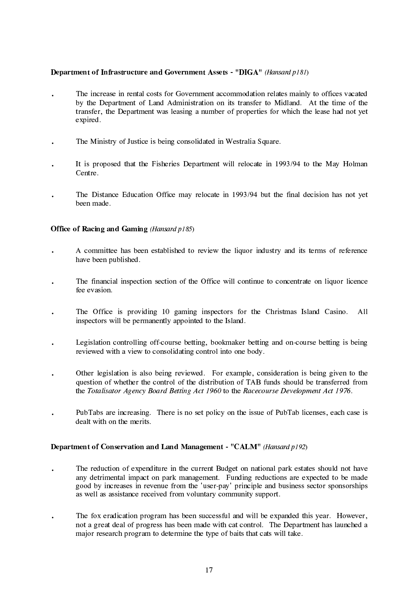#### Department of Infrastructure and Government Assets - "DIGA" (Hansard p181)

- The increase in rental costs for Government accommodation relates mainly to offices vacated by the Department of Land Administration on its transfer to Midland. At the time of the transfer, the Department was leasing a number of properties for which the lease had not yet expired.
- The Ministry of Justice is being consolidated in Westralia Square.
- It is proposed that the Fisheries Department will relocate in 1993/94 to the May Holman Centre.
- The Distance Education Office may relocate in 1993/94 but the final decision has not yet been made.

#### **Office of Racing and Gaming (Hansard p185)**

- A committee has been established to review the liquor industry and its terms of reference have been published.
- The financial inspection section of the Office will continue to concentrate on liquor licence fee evasion.
- The Office is providing 10 gaming inspectors for the Christmas Island Casino.  $A11$ inspectors will be permanently appointed to the Island.
- Legislation controlling off-course betting, bookmaker betting and on-course betting is being  $\bullet$ reviewed with a view to consolidating control into one body.
- Other legislation is also being reviewed. For example, consideration is being given to the question of whether the control of the distribution of TAB funds should be transferred from the Totalisator Agency Board Betting Act 1960 to the Racecourse Development Act 1976.
- PubTabs are increasing. There is no set policy on the issue of PubTab licenses, each case is dealt with on the merits.

#### Department of Conservation and Land Management - "CALM" (Hansard p192)

- The reduction of expenditure in the current Budget on national park estates should not have  $\ddot{\phantom{a}}$ any detrimental impact on park management. Funding reductions are expected to be made good by increases in revenue from the 'user-pay' principle and business sector sponsorships as well as assistance received from voluntary community support.
- The fox eradication program has been successful and will be expanded this year. However,  $\ddot{\phantom{0}}$ not a great deal of progress has been made with cat control. The Department has launched a major research program to determine the type of baits that cats will take.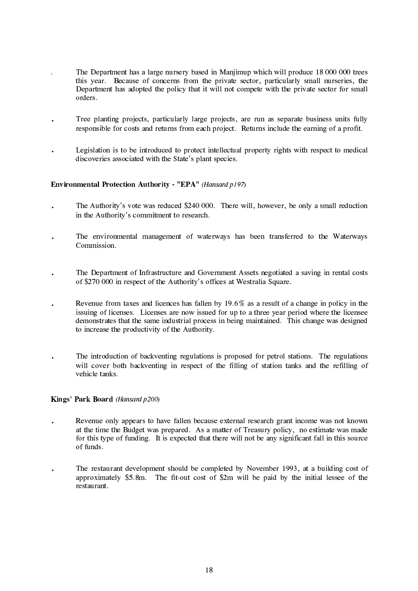- The Department has a large nursery based in Manjimup which will produce 18 000 000 trees this year. Because of concerns from the private sector, particularly small nurseries, the Department has adopted the policy that it will not compete with the private sector for small orders
- Tree planting projects, particularly large projects, are run as separate business units fully responsible for costs and returns from each project. Returns include the earning of a profit.
- Legislation is to be introduced to protect intellectual property rights with respect to medical discoveries associated with the State's plant species.

#### Environmental Protection Authority - "EPA" (Hansard p197)

- The Authority's vote was reduced \$240 000. There will, however, be only a small reduction in the Authority's commitment to research.
- The environmental management of waterways has been transferred to the Waterways Commission.
- The Department of Infrastructure and Government Assets negotiated a saving in rental costs of \$270 000 in respect of the Authority's offices at Westralia Square.
- Revenue from taxes and licences has fallen by 19.6% as a result of a change in policy in the issuing of licenses. Licenses are now issued for up to a three year period where the licensee demonstrates that the same industrial process in being maintained. This change was designed to increase the productivity of the Authority.
- The introduction of backventing regulations is proposed for petrol stations. The regulations  $\ddot{\phantom{0}}$ will cover both backventing in respect of the filling of station tanks and the refilling of vehicle tanks

#### Kings' Park Board (Hansard p200)

- Revenue only appears to have fallen because external research grant income was not known at the time the Budget was prepared. As a matter of Treasury policy, no estimate was made for this type of funding. It is expected that there will not be any significant fall in this source of funds.
- The restaurant development should be completed by November 1993, at a building cost of  $\bullet$ approximately \$5.8m. The fit-out cost of \$2m will be paid by the initial lessee of the restaurant.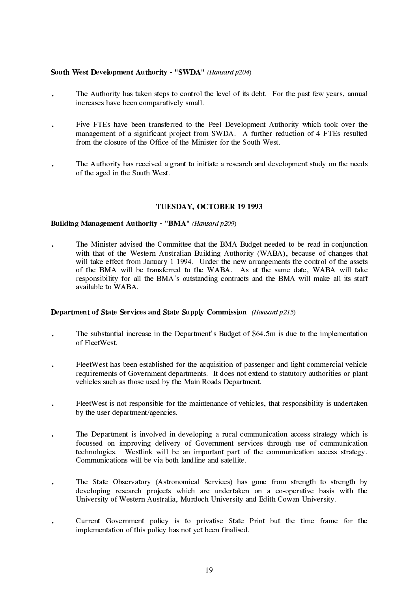#### South West Development Authority - "SWDA" (Hansard p204)

- The Authority has taken steps to control the level of its debt. For the past few years, annual increases have been comparatively small.
- Five FTEs have been transferred to the Peel Development Authority which took over the management of a significant project from SWDA. A further reduction of 4 FTEs resulted from the closure of the Office of the Minister for the South West.
- The Authority has received a grant to initiate a research and development study on the needs of the aged in the South West.

#### TUESDAY, OCTOBER 19 1993

#### **Building Management Authority - "BMA"** (Hansard p209)

The Minister advised the Committee that the BMA Budget needed to be read in conjunction with that of the Western Australian Building Authority (WABA), because of changes that will take effect from January 1 1994. Under the new arrangements the control of the assets of the BMA will be transferred to the WABA. As at the same date, WABA will take responsibility for all the BMA's outstanding contracts and the BMA will make all its staff available to WABA.

#### **Department of State Services and State Supply Commission** (*Hansard p215*)

- The substantial increase in the Department's Budget of \$64.5m is due to the implementation of FleetWest.
- FleetWest has been established for the acquisition of passenger and light commercial vehicle requirements of Government departments. It does not extend to statutory authorities or plant vehicles such as those used by the Main Roads Department.
- FleetWest is not responsible for the maintenance of vehicles, that responsibility is undertaken by the user department/agencies.
- The Department is involved in developing a rural communication access strategy which is focussed on improving delivery of Government services through use of communication technologies. Westlink will be an important part of the communication access strategy. Communications will be via both landline and satellite.
- The State Observatory (Astronomical Services) has gone from strength to strength by developing research projects which are undertaken on a co-operative basis with the University of Western Australia, Murdoch University and Edith Cowan University.
- Current Government policy is to privatise State Print but the time frame for the implementation of this policy has not yet been finalised.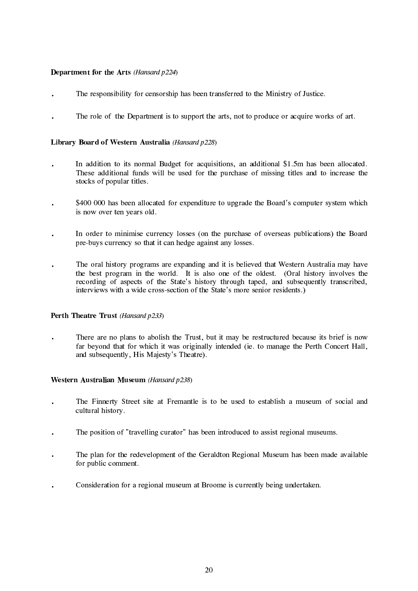#### Department for the Arts (Hansard p224)

- The responsibility for censorship has been transferred to the Ministry of Justice.
- The role of the Department is to support the arts, not to produce or acquire works of art.

#### Library Board of Western Australia (Hansard p228)

- In addition to its normal Budget for acquisitions, an additional \$1.5m has been allocated. These additional funds will be used for the purchase of missing titles and to increase the stocks of popular titles.
- \$400 000 has been allocated for expenditure to upgrade the Board's computer system which is now over ten years old.
- In order to minimise currency losses (on the purchase of overseas publications) the Board pre-buys currency so that it can hedge against any losses.
- The oral history programs are expanding and it is believed that Western Australia may have  $\ddot{\phantom{0}}$ the best program in the world. It is also one of the oldest. (Oral history involves the recording of aspects of the State's history through taped, and subsequently transcribed, interviews with a wide cross-section of the State's more senior residents.)

#### Perth Theatre Trust (Hansard p233)

There are no plans to abolish the Trust, but it may be restructured because its brief is now far beyond that for which it was originally intended (ie. to manage the Perth Concert Hall, and subsequently, His Majesty's Theatre).

#### Western Australian Museum (Hansard p238)

- The Finnerty Street site at Fremantle is to be used to establish a museum of social and cultural history.
- The position of "travelling curator" has been introduced to assist regional museums.
- The plan for the redevelopment of the Geraldton Regional Museum has been made available for public comment.
- Consideration for a regional museum at Broome is currently being undertaken.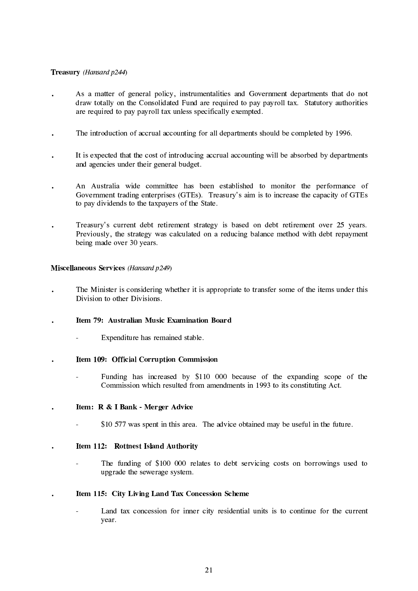#### Treasury (Hansard p244)

- As a matter of general policy, instrumentalities and Government departments that do not draw totally on the Consolidated Fund are required to pay payroll tax. Statutory authorities are required to pay payroll tax unless specifically exempted.
- The introduction of accrual accounting for all departments should be completed by 1996.  $\ddot{\phantom{a}}$
- It is expected that the cost of introducing accrual accounting will be absorbed by departments and agencies under their general budget.
- An Australia wide committee has been established to monitor the performance of Government trading enterprises (GTEs). Treasury's aim is to increase the capacity of GTEs to pay dividends to the taxpayers of the State.
- Treasury's current debt retirement strategy is based on debt retirement over 25 years. Previously, the strategy was calculated on a reducing balance method with debt repayment being made over 30 years.

#### **Miscellaneous Services** (Hansard p249)

- The Minister is considering whether it is appropriate to transfer some of the items under this Division to other Divisions
- Item 79: Australian Music Examination Board
	- Expenditure has remained stable.  $\mathcal{L}^{\mathcal{L}}$
- Item 109: Official Corruption Commission
	- Funding has increased by \$110 000 because of the expanding scope of the Commission which resulted from amendments in 1993 to its constituting Act.
- Item: R & I Bank Merger Advice
	- \$10 577 was spent in this area. The advice obtained may be useful in the future.

#### Item 112: Rottnest Island Authority  $\ddot{\phantom{a}}$

- The funding of \$100 000 relates to debt servicing costs on borrowings used to upgrade the sewerage system.
- Item 115: City Living Land Tax Concession Scheme
	- Land tax concession for inner city residential units is to continue for the current year.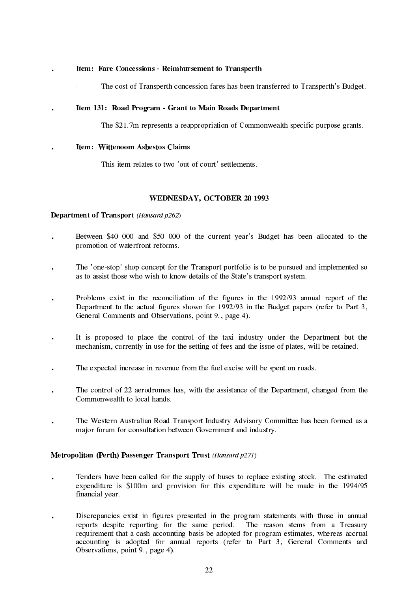#### Item: Fare Concessions - Reimbursement to Transperth

The cost of Transperth concession fares has been transferred to Transperth's Budget.

#### Item 131: Road Program - Grant to Main Roads Department

The \$21.7m represents a reappropriation of Commonwealth specific purpose grants.

#### Item: Wittenoom Asbestos Claims

This item relates to two 'out of court' settlements.

#### **WEDNESDAY, OCTOBER 20 1993**

#### **Department of Transport** (*Hansard p262*)

- Between \$40 000 and \$50 000 of the current year's Budget has been allocated to the promotion of waterfront reforms.
- The 'one-stop' shop concept for the Transport portfolio is to be pursued and implemented so as to assist those who wish to know details of the State's transport system.
- Problems exist in the reconciliation of the figures in the 1992/93 annual report of the Department to the actual figures shown for 1992/93 in the Budget papers (refer to Part 3, General Comments and Observations, point 9., page 4).
- It is proposed to place the control of the taxi industry under the Department but the mechanism, currently in use for the setting of fees and the issue of plates, will be retained.
- The expected increase in revenue from the fuel excise will be spent on roads.
- The control of 22 aerodromes has, with the assistance of the Department, changed from the Commonwealth to local hands.
- The Western Australian Road Transport Industry Advisory Committee has been formed as a major forum for consultation between Government and industry.

#### Metropolitan (Perth) Passenger Transport Trust (Hansard p271)

- Tenders have been called for the supply of buses to replace existing stock. The estimated  $\ddot{\phantom{0}}$ expenditure is \$100m and provision for this expenditure will be made in the 1994/95 financial year.
- Discrepancies exist in figures presented in the program statements with those in annual  $\ddot{\phantom{a}}$ reports despite reporting for the same period. The reason stems from a Treasury requirement that a cash accounting basis be adopted for program estimates, whereas accrual accounting is adopted for annual reports (refer to Part 3, General Comments and Observations, point 9., page 4).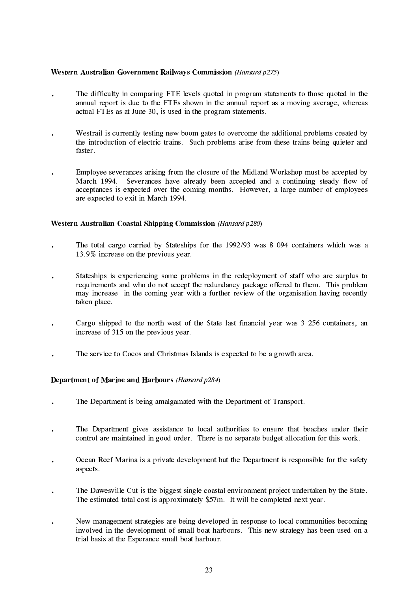#### Western Australian Government Railways Commission (Hansard p275)

- The difficulty in comparing FTE levels quoted in program statements to those quoted in the annual report is due to the FTEs shown in the annual report as a moving average, whereas actual FTEs as at June 30, is used in the program statements.
- Westrail is currently testing new boom gates to overcome the additional problems created by the introduction of electric trains. Such problems arise from these trains being quieter and faster.
- Employee severances arising from the closure of the Midland Workshop must be accepted by March 1994. Severances have already been accepted and a continuing steady flow of acceptances is expected over the coming months. However, a large number of employees are expected to exit in March 1994.

#### Western Australian Coastal Shipping Commission (Hansard p280)

- The total cargo carried by Stateships for the 1992/93 was 8 094 containers which was a 13.9% increase on the previous year.
- Stateships is experiencing some problems in the redeployment of staff who are surplus to requirements and who do not accept the redundancy package offered to them. This problem may increase in the coming year with a further review of the organisation having recently taken place.
- Cargo shipped to the north west of the State last financial year was 3 256 containers, an increase of 315 on the previous year.
- The service to Cocos and Christmas Islands is expected to be a growth area.

#### Department of Marine and Harbours (Hansard p284)

- The Department is being amalgamated with the Department of Transport.
- The Department gives assistance to local authorities to ensure that beaches under their control are maintained in good order. There is no separate budget allocation for this work.
- Ocean Reef Marina is a private development but the Department is responsible for the safety aspects.
- The Dawesville Cut is the biggest single coastal environment project undertaken by the State. The estimated total cost is approximately \$57m. It will be completed next year.
- New management strategies are being developed in response to local communities becoming involved in the development of small boat harbours. This new strategy has been used on a trial basis at the Esperance small boat harbour.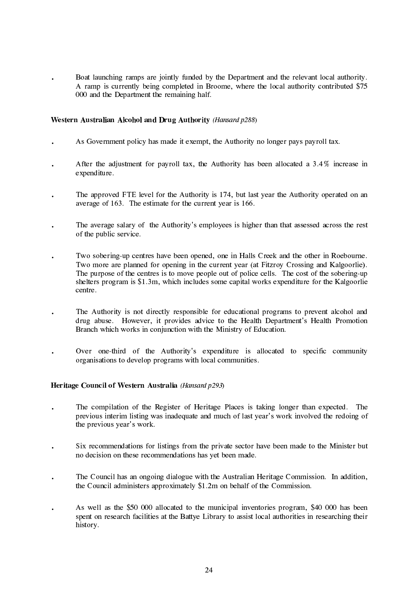Boat launching ramps are jointly funded by the Department and the relevant local authority. A ramp is currently being completed in Broome, where the local authority contributed \$75 000 and the Department the remaining half.

#### Western Australian Alcohol and Drug Authority (Hansard p288)

- As Government policy has made it exempt, the Authority no longer pays payroll tax.
- After the adjustment for payroll tax, the Authority has been allocated a 3.4% increase in expenditure.
- The approved FTE level for the Authority is 174, but last year the Authority operated on an average of 163. The estimate for the current year is 166.
- The average salary of the Authority's employees is higher than that assessed across the rest of the public service.
- Two sobering-up centres have been opened, one in Halls Creek and the other in Roebourne.  $\ddot{\phantom{a}}$ Two more are planned for opening in the current year (at Fitzroy Crossing and Kalgoorlie). The purpose of the centres is to move people out of police cells. The cost of the sobering-up shelters program is \$1.3m, which includes some capital works expenditure for the Kalgoorlie centre.
- The Authority is not directly responsible for educational programs to prevent alcohol and  $\ddot{\phantom{0}}$ drug abuse. However, it provides advice to the Health Department's Health Promotion Branch which works in conjunction with the Ministry of Education.
- Over one-third of the Authority's expenditure is allocated to specific community  $\ddot{\phantom{0}}$ organisations to develop programs with local communities.

#### Heritage Council of Western Australia (Hansard p293)

- The compilation of the Register of Heritage Places is taking longer than expected. The previous interim listing was inadequate and much of last year's work involved the redoing of the previous year's work.
- Six recommendations for listings from the private sector have been made to the Minister but no decision on these recommendations has yet been made.
- The Council has an ongoing dialogue with the Australian Heritage Commission. In addition,  $\ddot{\phantom{0}}$ the Council administers approximately \$1.2m on behalf of the Commission.
- As well as the \$50 000 allocated to the municipal inventories program, \$40 000 has been  $\ddot{\phantom{a}}$ spent on research facilities at the Battye Library to assist local authorities in researching their history.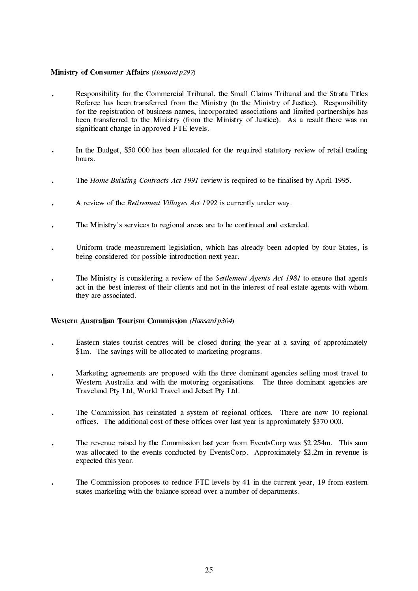#### Ministry of Consumer Affairs (Hansard p297)

- Responsibility for the Commercial Tribunal, the Small Claims Tribunal and the Strata Titles Referee has been transferred from the Ministry (to the Ministry of Justice). Responsibility for the registration of business names, incorporated associations and limited partnerships has been transferred to the Ministry (from the Ministry of Justice). As a result there was no significant change in approved FTE levels.
- In the Budget, \$50 000 has been allocated for the required statutory review of retail trading hours
- The Home Building Contracts Act 1991 review is required to be finalised by April 1995.
- A review of the *Retirement Villages Act 1992* is currently under way.
- The Ministry's services to regional areas are to be continued and extended.
- Uniform trade measurement legislation, which has already been adopted by four States, is being considered for possible introduction next year.
- The Ministry is considering a review of the *Settlement Agents Act 1981* to ensure that agents act in the best interest of their clients and not in the interest of real estate agents with whom they are associated.

#### **Western Australian Tourism Commission** (*Hansard p304*)

- Eastern states tourist centres will be closed during the year at a saving of approximately  $\ddot{\phantom{a}}$ \$1m. The savings will be allocated to marketing programs.
- Marketing agreements are proposed with the three dominant agencies selling most travel to Western Australia and with the motoring organisations. The three dominant agencies are Traveland Pty Ltd, World Travel and Jetset Pty Ltd.
- The Commission has reinstated a system of regional offices. There are now 10 regional offices. The additional cost of these offices over last year is approximately \$370 000.
- The revenue raised by the Commission last year from EventsCorp was \$2.254m. This sum was allocated to the events conducted by EventsCorp. Approximately \$2.2m in revenue is expected this year.
- The Commission proposes to reduce FTE levels by 41 in the current year, 19 from eastern states marketing with the balance spread over a number of departments.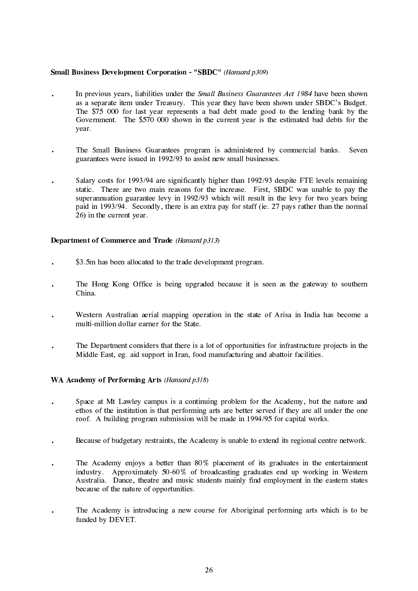#### **Small Business Development Corporation - "SBDC"** (Hansard p309)

- In previous years, liabilities under the *Small Business Guarantees Act 1984* have been shown as a separate item under Treasury. This year they have been shown under SBDC's Budget. The \$75 000 for last year represents a bad debt made good to the lending bank by the Government. The \$570 000 shown in the current year is the estimated bad debts for the year.
- The Small Business Guarantees program is administered by commercial banks. Seven guarantees were issued in 1992/93 to assist new small businesses.
- Salary costs for 1993/94 are significantly higher than 1992/93 despite FTE levels remaining static. There are two main reasons for the increase. First, SBDC was unable to pay the superannuation guarantee levy in 1992/93 which will result in the levy for two years being paid in 1993/94. Secondly, there is an extra pay for staff (ie, 27 pays rather than the normal 26) in the current year.

#### **Department of Commerce and Trade** (*Hansard p313*)

- \$3.5m has been allocated to the trade development program.
- The Hong Kong Office is being upgraded because it is seen as the gateway to southern China.
- Western Australian aerial mapping operation in the state of Arisa in India has become a multi-million dollar earner for the State.
- The Department considers that there is a lot of opportunities for infrastructure projects in the Middle East, eg. aid support in Iran, food manufacturing and abattoir facilities.

#### WA Academy of Performing Arts (Hansard p318)

- Space at Mt Lawley campus is a continuing problem for the Academy, but the nature and ethos of the institution is that performing arts are better served if they are all under the one roof. A building program submission will be made in 1994/95 for capital works.
- Because of budgetary restraints, the Academy is unable to extend its regional centre network.
- The Academy enjoys a better than 80% placement of its graduates in the entertainment industry. Approximately 50-60% of broadcasting graduates end up working in Western Australia. Dance, theatre and music students mainly find employment in the eastern states because of the nature of opportunities.
- The Academy is introducing a new course for Aboriginal performing arts which is to be funded by DEVET.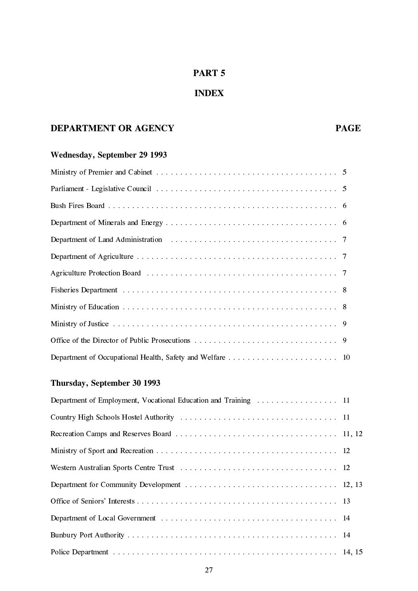## PART 5

## **INDEX**

## **DEPARTMENT OR AGENCY**

## Wednesday, September 29 1993

## Thursday, September 30 1993

| Department of Employment, Vocational Education and Training  11 |  |
|-----------------------------------------------------------------|--|
|                                                                 |  |
|                                                                 |  |
|                                                                 |  |
|                                                                 |  |
|                                                                 |  |
|                                                                 |  |
|                                                                 |  |
|                                                                 |  |
|                                                                 |  |

**PAGE**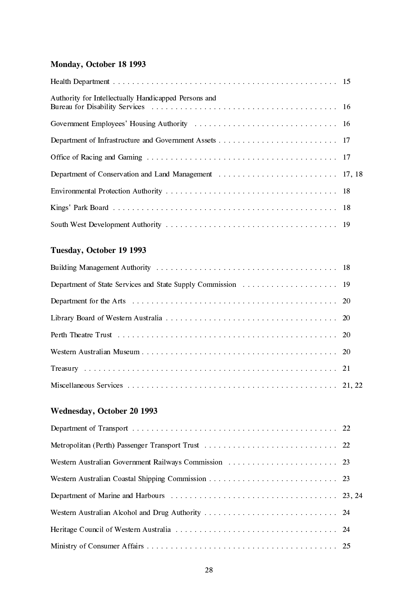## Monday, October 18 1993

| Authority for Intellectually Handicapped Persons and |  |
|------------------------------------------------------|--|
|                                                      |  |
|                                                      |  |
|                                                      |  |
|                                                      |  |
|                                                      |  |
|                                                      |  |
|                                                      |  |

## Tuesday, October 19 1993

## Wednesday, October 20 1993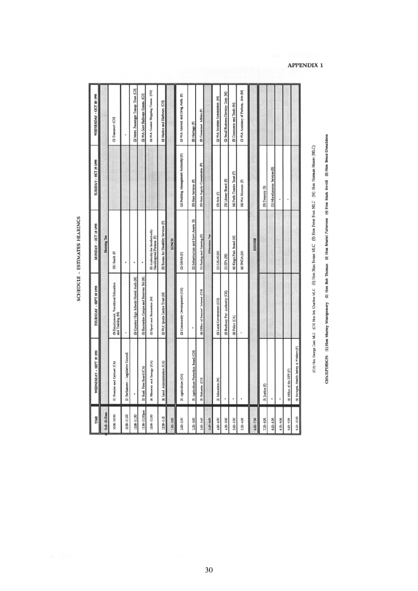SCHEDULE - ESTIMATES HEARINGS

| TIME            | WEDNESDAY - SEPT 29 1993                 | THURSDAY - SEPT 30 1993                                  | MONDAY - OCT 18 1993                                        | TUESDAY - OCT 19 1993                 | WEDNESDAY - OCT 20 1993                |
|-----------------|------------------------------------------|----------------------------------------------------------|-------------------------------------------------------------|---------------------------------------|----------------------------------------|
| 9.45-10.00am    |                                          |                                                          | Morrirg Tea                                                 |                                       |                                        |
| $30.00 - 10.30$ | (I) Premier and Cabinet (CA)             | (3) Employment, Vocational Education<br>and Training (M) | (3) Health (F)                                              |                                       | (I) Transport (CH)                     |
| 10:30-11:00     | (I) Parliament - Legislative Council     |                                                          |                                                             |                                       |                                        |
| 11.30           |                                          | (3) Country High Schools Hostel Auth (M)                 | ٠                                                           |                                       | (2) Metro Passenger Transp. Trust (CH) |
| 1130-12.00pm    | (2) Bush Fires Board (CA)                | (I) Recreation Camps and Reserves Bd (M)                 |                                                             |                                       | G) WA Govt Railways Comm. (CH)         |
| $200 - 12.30$   | (4) Minerals and linergy (CA)            | (I) Sport and Recreation (M)                             | (5) Authority for Intellectually<br>Handicapped Persons (F) |                                       | (4) WA Coastal Shipping Comm. (CH)     |
| $2.30 - 1.00$   | (4) Land Administration (CA)             | (I) WA Sports Centre Trust (M)                           | (5) Bureau for Disability Services (F)                      |                                       | (4) Marine and Harbours (CH)           |
| $1.00 - 2.00$   |                                          |                                                          | <b>LUNCH</b>                                                |                                       |                                        |
| $2.00 - 2.30$   | (5) Agriculture (CH)                     | (2) Community Development (CH)                           | 2) GELA (F)                                                 | (2) Building Management Authority (F) | (5) WA Alcohol and Drug Auth. (F)      |
| $2.30 - 3.00$   | [5] Agriculture Protection Board (CH)    |                                                          | (2) Infrastructure and Covt Assets [E]                      | (5) State Services (F)                | (5) Heritage (F)                       |
| $3.00 - 3.45$   | (3) Pisheries (CH)                       | (4) Office of Seniors' Interest (CI-I)                   | (I) Bacing and Gaming (E)                                   | (5) State Supply Commission (F)       | (5) Consumer Affairs (F)               |
| 345-400         |                                          |                                                          | Aitemoon Tea                                                |                                       |                                        |
| $4.00 - 4.30$   | 28 Education (M)                         | (5) Local Covernment (CH)                                | (I) CALM (M)                                                | (3) Arts (F)                          | G) WA Tourism Commission (M)           |
| $4.30 - 5.00$   |                                          | (5) Burbury Port Authority (CH)                          | $(1)$ EPA $(M)$                                             | (3) Library Board (F)                 | (3) Small Business Develop Corp (M)    |
| $5.00 - 5.30$   |                                          | (4) Police (CA)                                          | (4) King's Park Board (M)                                   | (4) Perth Theatre Trust (F)           | (5) Commerce and Irade (M)             |
| $5.30 - 6.00$   |                                          |                                                          | (4) SNDA (M)                                                | (4) WA Museum (F)                     | (I) WA Academy of Perform. Arts (M)    |
| $6.00 - 7.30$   |                                          |                                                          | <b>DINNER</b>                                               |                                       |                                        |
| $7.30 - 8.00$   | (3) Justice (F)                          |                                                          |                                                             | (5) Treasury (E)                      |                                        |
| $8.00 - 8.30$   |                                          |                                                          |                                                             | (I) Miscellaneous Services (E)        |                                        |
| $8.30 - 9.00$   |                                          |                                                          |                                                             |                                       |                                        |
| $9.00 - 9.30$   | (4) Office of the DPP (F)                |                                                          |                                                             |                                       |                                        |
| $9,30 - 10,00$  | (4) Occupat. Health Safety & Welfare (F) |                                                          |                                                             |                                       |                                        |
|                 |                                          |                                                          |                                                             |                                       |                                        |

**APPENDIX 1** 

CHAIRFERSON: (1) Hon Murray Montgomery (2) Hon Bob Thomas (3) Hon Muriel Peterson (4) Hon Mark Nevill (5) Hon Bruce Donaldson (C.A) Hon George Cash MLC (C3) Hon Etic Charlton MLC (E) Hon Max Evans MLC (E) Hon Peter Foss MLC (M) Hon Norman Moore (MLC)